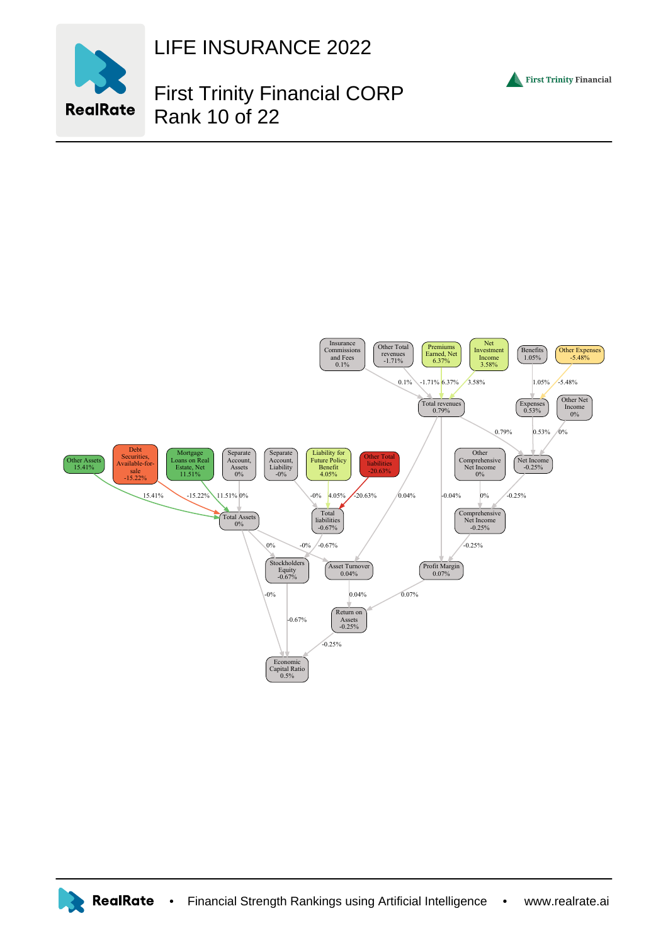

LIFE INSURANCE 2022

## First Trinity Financial CORP Rank 10 of 22